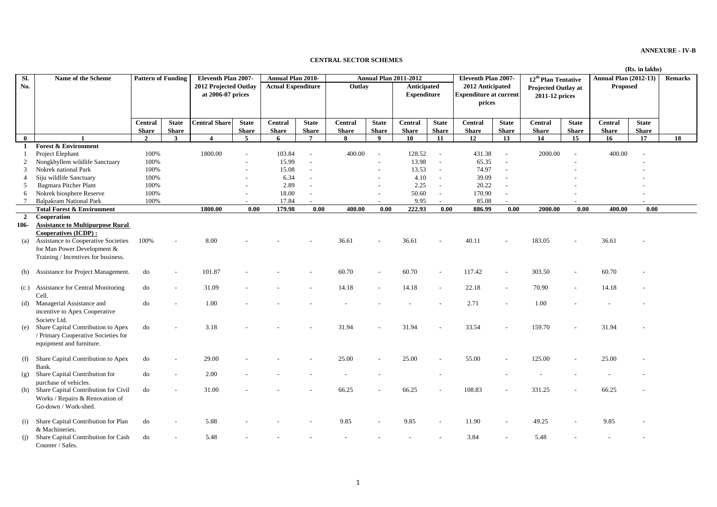**ANNEXURE - IV-B**

## **CENTRAL SECTOR SCHEMES**

|                |                                                                                                                           |                |              |                                            |                 |                           |                 |                              |              |                                   |                          |                                                             |                          |                                              | (Rs. in lakhs) |                              |              |                |  |  |
|----------------|---------------------------------------------------------------------------------------------------------------------------|----------------|--------------|--------------------------------------------|-----------------|---------------------------|-----------------|------------------------------|--------------|-----------------------------------|--------------------------|-------------------------------------------------------------|--------------------------|----------------------------------------------|----------------|------------------------------|--------------|----------------|--|--|
| Sl.            | Name of the Scheme<br><b>Pattern of Funding</b>                                                                           |                |              | Eleventh Plan 2007-                        |                 | <b>Annual Plan 2010-</b>  |                 | <b>Annual Plan 2011-2012</b> |              |                                   |                          | Eleventh Plan 2007-                                         |                          | 12 <sup>th</sup> Plan Tentative              |                | <b>Annual Plan (2012-13)</b> |              | <b>Remarks</b> |  |  |
| No.            |                                                                                                                           |                |              | 2012 Projected Outlay<br>at 2006-07 prices |                 | <b>Actual Expenditure</b> |                 | Outlay                       |              | Anticipated<br><b>Expenditure</b> |                          | 2012 Anticipated<br><b>Expenditure at current</b><br>prices |                          | <b>Projected Outlay at</b><br>2011-12 prices |                | <b>Proposed</b>              |              |                |  |  |
|                |                                                                                                                           | <b>Central</b> | <b>State</b> | <b>Central Share</b>                       | <b>State</b>    | Central                   | <b>State</b>    | <b>Central</b>               | <b>State</b> | <b>Central</b>                    | <b>State</b>             | Central                                                     | <b>State</b>             | <b>Central</b>                               | <b>State</b>   | <b>Central</b>               | <b>State</b> |                |  |  |
|                |                                                                                                                           | <b>Share</b>   | <b>Share</b> |                                            | <b>Share</b>    | <b>Share</b>              | <b>Share</b>    | <b>Share</b>                 | <b>Share</b> | <b>Share</b>                      | <b>Share</b>             | <b>Share</b>                                                | <b>Share</b>             | <b>Share</b>                                 | <b>Share</b>   | <b>Share</b>                 | <b>Share</b> |                |  |  |
| $\bf{0}$       |                                                                                                                           | $\overline{2}$ | $\mathbf{3}$ | $\overline{4}$                             | $5\overline{5}$ | 6                         | $7\phantom{.0}$ | 8                            | 9            | 10                                | 11                       | 12                                                          | 13                       | 14                                           | 15             | 16                           | 17           | 18             |  |  |
| -1             | <b>Forest &amp; Environment</b>                                                                                           |                |              |                                            |                 |                           |                 |                              |              |                                   |                          |                                                             |                          |                                              |                |                              |              |                |  |  |
|                | Project Elephant                                                                                                          | 100%           |              | 1800.00                                    |                 | 103.84                    |                 | 400.00                       |              | 128.52                            | $\sim$                   | 431.38                                                      |                          | 2000.00                                      |                | 400.00                       |              |                |  |  |
| $\overline{2}$ | Nongkhyllem wildlife Sanctuary                                                                                            | 100%           |              |                                            |                 | 15.99                     |                 |                              |              | 13.98                             | $\sim$                   | 65.35                                                       |                          |                                              |                |                              |              |                |  |  |
| 3              | Nokrek national Park                                                                                                      | 100%           |              |                                            |                 | 15.08                     | $\sim$          |                              |              | 13.53                             | $\sim$                   | 74.97                                                       | $\overline{a}$           |                                              |                |                              |              |                |  |  |
|                | Siju wildlife Sanctuary                                                                                                   | 100%           |              |                                            |                 | 6.34                      | $\sim$          |                              |              | 4.10                              | $\sim$                   | 39.09                                                       | $\overline{a}$           |                                              |                |                              |              |                |  |  |
| -5             | Bagmara Pitcher Plant                                                                                                     | 100%           |              |                                            |                 | 2.89                      | $\sim$          |                              |              | 2.25                              | $\mathbb{L}$             | 20.22                                                       | $\sim$                   |                                              |                |                              |              |                |  |  |
| 6              | Nokrek biosphere Reserve                                                                                                  | 100%           |              |                                            |                 | 18.00                     | $\sim$          |                              |              | 50.60                             | $\overline{\phantom{a}}$ | 170.90                                                      | $\sim$                   |                                              |                |                              |              |                |  |  |
| 7              | <b>Balpakram National Park</b>                                                                                            | 100%           |              |                                            |                 | 17.84                     |                 |                              |              | 9.95                              | $\mathcal{L}$            | 85.08                                                       | $\overline{\phantom{a}}$ |                                              |                |                              |              |                |  |  |
|                | <b>Total Forest &amp; Environment</b>                                                                                     |                |              | 1800.00                                    | 0.00            | 179.98                    | 0.00            | 400.00                       | 0.00         | 222.93                            | 0.00                     | 886.99                                                      | 0.00                     | 2000.00                                      | 0.00           | 400.00                       | 0.00         |                |  |  |
| $\overline{2}$ | Cooperation                                                                                                               |                |              |                                            |                 |                           |                 |                              |              |                                   |                          |                                                             |                          |                                              |                |                              |              |                |  |  |
| 106-           | <b>Assistance to Multipurpose Rural</b><br>Cooperatives (ICDP):                                                           |                |              |                                            |                 |                           |                 |                              |              |                                   |                          |                                                             |                          |                                              |                |                              |              |                |  |  |
|                | (a) Assistance to Cooperative Societies<br>for Man Power Development &<br>Training / Incentives for business.             | 100%           |              | 8.00                                       |                 |                           |                 | 36.61                        |              | 36.61                             |                          | 40.11                                                       |                          | 183.05                                       |                | 36.61                        |              |                |  |  |
|                | (b) Assistance for Project Management.                                                                                    | do             |              | 101.87                                     |                 |                           |                 | 60.70                        |              | 60.70                             | $\sim$                   | 117.42                                                      | $\sim$                   | 303.50                                       |                | 60.70                        |              |                |  |  |
|                | (c) Assistance for Central Monitoring<br>Cell.                                                                            | do             |              | 31.09                                      |                 |                           |                 | 14.18                        |              | 14.18                             | $\sim$                   | 22.18                                                       |                          | 70.90                                        |                | 14.18                        |              |                |  |  |
|                | (d) Managerial Assistance and<br>incentive to Apex Cooperative                                                            | do             |              | 1.00                                       |                 |                           |                 |                              |              |                                   |                          | 2.71                                                        |                          | 1.00                                         |                |                              |              |                |  |  |
|                | Society Ltd.<br>(e) Share Capital Contribution to Apex<br>/ Primary Cooperative Societies for<br>equipment and furniture. | do             |              | 3.18                                       |                 |                           |                 | 31.94                        |              | 31.94                             |                          | 33.54                                                       |                          | 159.70                                       |                | 31.94                        |              |                |  |  |
|                | (f) Share Capital Contribution to Apex<br>Bank.                                                                           | do             |              | 29.00                                      |                 |                           |                 | 25.00                        |              | 25.00                             |                          | 55.00                                                       |                          | 125.00                                       |                | 25.00                        |              |                |  |  |
| (g)            | Share Capital Contribution for<br>purchase of vehicles.                                                                   | do             |              | 2.00                                       |                 |                           |                 |                              |              |                                   |                          |                                                             |                          |                                              |                |                              |              |                |  |  |
| (h)            | Share Capital Contribution for Civil<br>Works / Repairs & Renovation of<br>Go-down / Work-shed.                           | do             |              | 31.00                                      |                 |                           |                 | 66.25                        |              | 66.25                             |                          | 108.83                                                      |                          | 331.25                                       |                | 66.25                        |              |                |  |  |
| (i)            | Share Capital Contribution for Plan<br>& Machineries.                                                                     | do             |              | 5.88                                       |                 |                           |                 | 9.85                         |              | 9.85                              |                          | 11.90                                                       |                          | 49.25                                        |                | 9.85                         |              |                |  |  |
| (i)            | Share Capital Contribution for Cash<br>Counter / Safes.                                                                   | do             |              | 5.48                                       |                 |                           |                 |                              |              |                                   |                          | 3.84                                                        |                          | 5.48                                         |                |                              |              |                |  |  |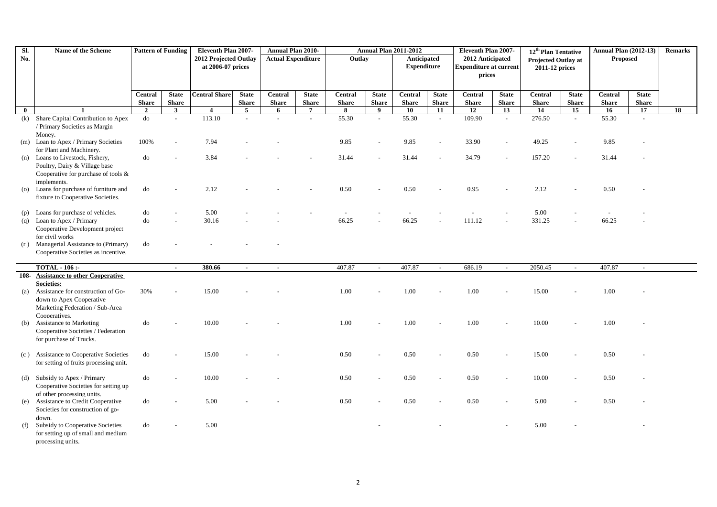| Sl.            | Name of the Scheme                      | <b>Pattern of Funding</b> |                             | Eleventh Plan 2007-   |                | Annual Plan 2010-         |                           |              |              | <b>Annual Plan 2011-2012</b> |              | Eleventh Plan 2007-           |                | 12 <sup>th</sup> Plan Tentative       |                | <b>Annual Plan (2012-13)</b> | <b>Remarks</b> |    |
|----------------|-----------------------------------------|---------------------------|-----------------------------|-----------------------|----------------|---------------------------|---------------------------|--------------|--------------|------------------------------|--------------|-------------------------------|----------------|---------------------------------------|----------------|------------------------------|----------------|----|
| No.            |                                         |                           |                             | 2012 Projected Outlay |                | <b>Actual Expenditure</b> |                           | Outlay       |              | Anticipated                  |              | 2012 Anticipated              |                | Projected Outlay at<br>2011-12 prices |                | Proposed                     |                |    |
|                |                                         |                           |                             | at 2006-07 prices     |                |                           |                           |              |              | <b>Expenditure</b>           |              | <b>Expenditure at current</b> |                |                                       |                |                              |                |    |
|                |                                         |                           |                             |                       |                |                           |                           |              |              |                              |              | prices                        |                |                                       |                |                              |                |    |
|                |                                         |                           |                             |                       |                |                           |                           |              |              |                              |              |                               |                |                                       |                |                              |                |    |
|                |                                         |                           |                             |                       |                |                           |                           |              |              |                              |              |                               |                |                                       |                |                              |                |    |
|                |                                         | Central                   | <b>State</b>                | <b>Central Share</b>  | <b>State</b>   | Central                   | <b>State</b>              | Central      | <b>State</b> | Central                      | <b>State</b> | Central                       | <b>State</b>   | <b>Central</b>                        | <b>State</b>   | Central                      | <b>State</b>   |    |
|                |                                         | <b>Share</b>              | <b>Share</b>                |                       | <b>Share</b>   | <b>Share</b>              | <b>Share</b>              | <b>Share</b> | <b>Share</b> | <b>Share</b>                 | <b>Share</b> | <b>Share</b>                  | <b>Share</b>   | <b>Share</b>                          | <b>Share</b>   | <b>Share</b>                 | <b>Share</b>   |    |
| $\bf{0}$       | $\mathbf{1}$                            | $\overline{2}$            | $\mathbf{3}$                | $\overline{4}$        | $5^{\circ}$    | 6                         | $\overline{7}$            | 8            | 9            | 10                           | 11           | 12                            | 13             | 14                                    | 15             | 16                           | 17             | 18 |
| (k)            | Share Capital Contribution to Apex      | $d\sigma$                 | $\mathcal{L}^{\mathcal{A}}$ | 113.10                | $\overline{a}$ | $\overline{a}$            | $\mathbb{Z}^{\mathbb{Z}}$ | 55.30        | $\mathbb{Z}$ | 55.30                        | $\sim$       | 109.90                        | $\mathbb{Z}^2$ | 276.50                                | $\mathbb{Z}^2$ | 55.30                        | $\sim$         |    |
|                | / Primary Societies as Margin           |                           |                             |                       |                |                           |                           |              |              |                              |              |                               |                |                                       |                |                              |                |    |
|                | Money.                                  |                           |                             |                       |                |                           |                           |              |              |                              |              |                               |                |                                       |                |                              |                |    |
|                | (m) Loan to Apex / Primary Societies    | 100%                      |                             | 7.94                  |                |                           |                           | 9.85         |              | 9.85                         |              | 33.90                         |                | 49.25                                 |                | 9.85                         |                |    |
|                | for Plant and Machinery.                |                           |                             |                       |                |                           |                           |              |              |                              |              |                               |                |                                       |                |                              |                |    |
| (n)            | Loans to Livestock, Fishery,            | do                        |                             | 3.84                  |                |                           |                           | 31.44        |              | 31.44                        |              | 34.79                         |                | 157.20                                |                | 31.44                        |                |    |
|                | Poultry, Dairy & Village base           |                           |                             |                       |                |                           |                           |              |              |                              |              |                               |                |                                       |                |                              |                |    |
|                | Cooperative for purchase of tools &     |                           |                             |                       |                |                           |                           |              |              |                              |              |                               |                |                                       |                |                              |                |    |
|                | implements.                             |                           |                             |                       |                |                           |                           |              |              |                              |              |                               |                |                                       |                |                              |                |    |
| $\overline{O}$ | Loans for purchase of furniture and     | do                        |                             | 2.12                  |                |                           |                           | 0.50         |              | 0.50                         |              | 0.95                          |                | 2.12                                  |                | 0.50                         |                |    |
|                | fixture to Cooperative Societies.       |                           |                             |                       |                |                           |                           |              |              |                              |              |                               |                |                                       |                |                              |                |    |
|                |                                         |                           |                             |                       |                |                           |                           |              |              |                              |              |                               |                |                                       |                |                              |                |    |
| (p)            | Loans for purchase of vehicles.         | do                        |                             | 5.00                  |                |                           |                           | $\sim$       |              |                              |              |                               |                | 5.00                                  |                |                              |                |    |
| (q)            | Loan to Apex / Primary                  | do                        |                             | 30.16                 |                |                           |                           | 66.25        |              | 66.25                        |              | 111.12                        |                | 331.25                                |                | 66.25                        |                |    |
|                | Cooperative Development project         |                           |                             |                       |                |                           |                           |              |              |                              |              |                               |                |                                       |                |                              |                |    |
|                | for civil works                         |                           |                             |                       |                |                           |                           |              |              |                              |              |                               |                |                                       |                |                              |                |    |
|                | (r) Managerial Assistance to (Primary)  | do                        |                             |                       |                |                           |                           |              |              |                              |              |                               |                |                                       |                |                              |                |    |
|                | Cooperative Societies as incentive.     |                           |                             |                       |                |                           |                           |              |              |                              |              |                               |                |                                       |                |                              |                |    |
|                |                                         |                           |                             |                       |                |                           |                           |              |              |                              |              |                               |                |                                       |                |                              |                |    |
|                | <b>TOTAL - 106 :-</b>                   |                           | $\sim$                      | 380.66                | $\sim$         | $\sim$                    |                           | 407.87       | $\sim$       | 407.87                       | $\sim$       | 686.19                        | $\sim$         | 2050.45                               | $\sim$         | 407.87                       | $\sim$         |    |
|                | 108- Assistance to other Cooperative    |                           |                             |                       |                |                           |                           |              |              |                              |              |                               |                |                                       |                |                              |                |    |
|                | <b>Societies:</b>                       |                           |                             |                       |                |                           |                           |              |              |                              |              |                               |                |                                       |                |                              |                |    |
| (a)            | Assistance for construction of Go-      | 30%                       |                             | 15.00                 |                |                           |                           | 1.00         |              | 1.00                         |              | 1.00                          |                | 15.00                                 |                | 1.00                         |                |    |
|                | down to Apex Cooperative                |                           |                             |                       |                |                           |                           |              |              |                              |              |                               |                |                                       |                |                              |                |    |
|                | Marketing Federation / Sub-Area         |                           |                             |                       |                |                           |                           |              |              |                              |              |                               |                |                                       |                |                              |                |    |
|                | Cooperatives.                           |                           |                             |                       |                |                           |                           |              |              |                              |              |                               |                |                                       |                |                              |                |    |
| (b)            | <b>Assistance to Marketing</b>          | do                        |                             | 10.00                 |                |                           |                           | 1.00         |              | 1.00                         |              | 1.00                          |                | 10.00                                 |                | 1.00                         |                |    |
|                | Cooperative Societies / Federation      |                           |                             |                       |                |                           |                           |              |              |                              |              |                               |                |                                       |                |                              |                |    |
|                | for purchase of Trucks.                 |                           |                             |                       |                |                           |                           |              |              |                              |              |                               |                |                                       |                |                              |                |    |
|                |                                         |                           |                             |                       |                |                           |                           |              |              |                              |              |                               |                |                                       |                |                              |                |    |
|                | (c) Assistance to Cooperative Societies | do                        |                             | 15.00                 |                |                           |                           | 0.50         |              | 0.50                         |              | 0.50                          |                | 15.00                                 |                | 0.50                         |                |    |
|                | for setting of fruits processing unit.  |                           |                             |                       |                |                           |                           |              |              |                              |              |                               |                |                                       |                |                              |                |    |
|                |                                         |                           |                             |                       |                |                           |                           |              |              |                              |              |                               |                |                                       |                |                              |                |    |
| (d)            | Subsidy to Apex / Primary               | do                        |                             | 10.00                 |                |                           |                           | 0.50         |              | 0.50                         |              | 0.50                          |                | 10.00                                 |                | 0.50                         |                |    |
|                | Cooperative Societies for setting up    |                           |                             |                       |                |                           |                           |              |              |                              |              |                               |                |                                       |                |                              |                |    |
|                |                                         |                           |                             |                       |                |                           |                           |              |              |                              |              |                               |                |                                       |                |                              |                |    |
|                | of other processing units.              |                           |                             |                       |                |                           |                           |              |              |                              |              |                               |                |                                       |                |                              |                |    |
| (e)            | Assistance to Credit Cooperative        | do                        |                             | 5.00                  |                |                           |                           | 0.50         |              | 0.50                         |              | 0.50                          |                | 5.00                                  |                | 0.50                         |                |    |
|                | Societies for construction of go-       |                           |                             |                       |                |                           |                           |              |              |                              |              |                               |                |                                       |                |                              |                |    |
|                | down.                                   |                           |                             |                       |                |                           |                           |              |              |                              |              |                               |                |                                       |                |                              |                |    |
| (f)            | Subsidy to Cooperative Societies        | do                        |                             | 5.00                  |                |                           |                           |              |              |                              |              |                               |                | 5.00                                  |                |                              |                |    |
|                | for setting up of small and medium      |                           |                             |                       |                |                           |                           |              |              |                              |              |                               |                |                                       |                |                              |                |    |
|                | processing units.                       |                           |                             |                       |                |                           |                           |              |              |                              |              |                               |                |                                       |                |                              |                |    |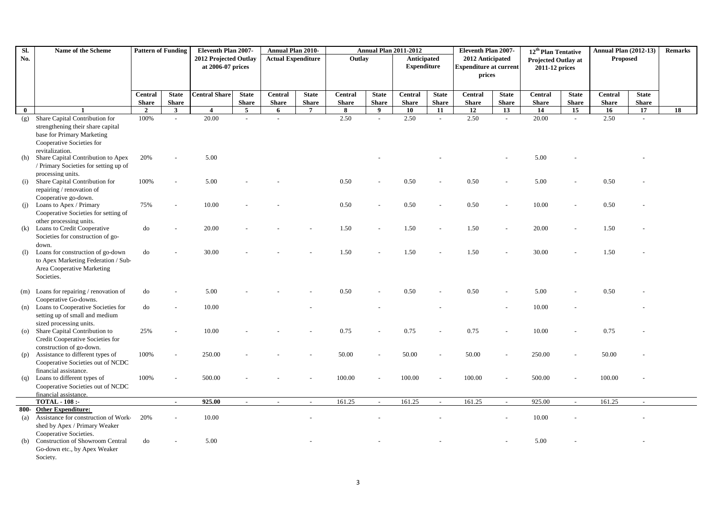| SI.                | Name of the Scheme                                                    | <b>Pattern of Funding</b> |                | Eleventh Plan 2007-   |                | <b>Annual Plan 2010-</b>  |                |              |              | <b>Annual Plan 2011-2012</b> |                          | Eleventh Plan 2007-           |                | 12 <sup>th</sup> Plan Tentative |              | <b>Annual Plan (2012-13)</b> |              | <b>Remarks</b> |
|--------------------|-----------------------------------------------------------------------|---------------------------|----------------|-----------------------|----------------|---------------------------|----------------|--------------|--------------|------------------------------|--------------------------|-------------------------------|----------------|---------------------------------|--------------|------------------------------|--------------|----------------|
| No.                |                                                                       |                           |                | 2012 Projected Outlay |                | <b>Actual Expenditure</b> |                | Outlay       |              | <b>Anticipated</b>           |                          | 2012 Anticipated              |                | <b>Projected Outlay at</b>      |              | <b>Proposed</b>              |              |                |
|                    |                                                                       |                           |                | at 2006-07 prices     |                |                           |                |              |              | <b>Expenditure</b>           |                          | <b>Expenditure at current</b> |                | 2011-12 prices                  |              |                              |              |                |
|                    |                                                                       |                           |                |                       |                |                           |                |              |              |                              |                          | prices                        |                |                                 |              |                              |              |                |
|                    |                                                                       |                           |                |                       |                |                           |                |              |              |                              |                          |                               |                |                                 |              |                              |              |                |
|                    |                                                                       | <b>Central</b>            | <b>State</b>   | <b>Central Share</b>  | <b>State</b>   | <b>Central</b>            | <b>State</b>   | Central      | <b>State</b> | <b>Central</b>               | <b>State</b>             | <b>Central</b>                | <b>State</b>   | <b>Central</b>                  | <b>State</b> | <b>Central</b>               | <b>State</b> |                |
|                    |                                                                       | <b>Share</b>              | <b>Share</b>   |                       | <b>Share</b>   | <b>Share</b>              | <b>Share</b>   | <b>Share</b> | <b>Share</b> | <b>Share</b>                 | <b>Share</b>             | <b>Share</b>                  | <b>Share</b>   | <b>Share</b>                    | <b>Share</b> | <b>Share</b>                 | <b>Share</b> |                |
| $\bf{0}$           | $\mathbf{1}$                                                          | $\overline{2}$            | $\mathbf{3}$   | $\overline{4}$        | 5 <sup>5</sup> | 6                         | $\overline{7}$ | 8            | 9            | 10                           | 11                       | 12                            | 13             | 14                              | 15           | 16                           | 17           | 18             |
| (g)                | Share Capital Contribution for                                        | 100%                      | $\overline{a}$ | 20.00                 |                | $\sim$                    |                | 2.50         |              | 2.50                         | $\mathcal{L}$            | 2.50                          | $\overline{a}$ | 20.00                           | $\sim$       | 2.50                         | $\sim$       |                |
|                    | strengthening their share capital                                     |                           |                |                       |                |                           |                |              |              |                              |                          |                               |                |                                 |              |                              |              |                |
|                    | base for Primary Marketing                                            |                           |                |                       |                |                           |                |              |              |                              |                          |                               |                |                                 |              |                              |              |                |
|                    | Cooperative Societies for                                             |                           |                |                       |                |                           |                |              |              |                              |                          |                               |                |                                 |              |                              |              |                |
|                    | revitalization.                                                       |                           |                |                       |                |                           |                |              |              |                              |                          |                               |                |                                 |              |                              |              |                |
| (h)                | Share Capital Contribution to Apex                                    | 20%                       |                | 5.00                  |                |                           |                |              |              |                              |                          |                               |                | 5.00                            |              |                              |              |                |
|                    | / Primary Societies for setting up of                                 |                           |                |                       |                |                           |                |              |              |                              |                          |                               |                |                                 |              |                              |              |                |
|                    | processing units.                                                     |                           |                |                       |                |                           |                |              |              |                              |                          |                               |                |                                 |              |                              |              |                |
|                    | (i) Share Capital Contribution for                                    | 100%                      |                | 5.00                  |                |                           |                | 0.50         |              | 0.50                         |                          | 0.50                          |                | 5.00                            |              | 0.50                         |              |                |
|                    | repairing / renovation of<br>Cooperative go-down.                     |                           |                |                       |                |                           |                |              |              |                              |                          |                               |                |                                 |              |                              |              |                |
|                    | (j) Loans to Apex / Primary                                           | 75%                       |                | 10.00                 |                |                           |                | 0.50         |              | 0.50                         |                          | 0.50                          |                | 10.00                           |              | 0.50                         |              |                |
|                    | Cooperative Societies for setting of                                  |                           |                |                       |                |                           |                |              |              |                              |                          |                               |                |                                 |              |                              |              |                |
|                    | other processing units.                                               |                           |                |                       |                |                           |                |              |              |                              |                          |                               |                |                                 |              |                              |              |                |
| (k)                | Loans to Credit Cooperative                                           | do                        |                | 20.00                 |                |                           |                | 1.50         |              | 1.50                         |                          | 1.50                          |                | 20.00                           |              | 1.50                         |              |                |
|                    | Societies for construction of go-                                     |                           |                |                       |                |                           |                |              |              |                              |                          |                               |                |                                 |              |                              |              |                |
|                    | down.                                                                 |                           |                |                       |                |                           |                |              |              |                              |                          |                               |                |                                 |              |                              |              |                |
| (1)                | Loans for construction of go-down                                     | do                        |                | 30.00                 |                |                           |                | 1.50         |              | 1.50                         |                          | 1.50                          |                | 30.00                           |              | 1.50                         |              |                |
|                    | to Apex Marketing Federation / Sub-                                   |                           |                |                       |                |                           |                |              |              |                              |                          |                               |                |                                 |              |                              |              |                |
|                    | Area Cooperative Marketing                                            |                           |                |                       |                |                           |                |              |              |                              |                          |                               |                |                                 |              |                              |              |                |
|                    | Societies.                                                            |                           |                |                       |                |                           |                |              |              |                              |                          |                               |                |                                 |              |                              |              |                |
|                    | $(m)$ Loans for repairing / renovation of                             | do                        |                | 5.00                  |                |                           |                | 0.50         |              | 0.50                         |                          | 0.50                          |                | 5.00                            |              | 0.50                         |              |                |
|                    | Cooperative Go-downs.                                                 |                           |                |                       |                |                           |                |              |              |                              |                          |                               |                |                                 |              |                              |              |                |
|                    | (n) Loans to Cooperative Societies for                                | do                        |                | 10.00                 |                |                           |                |              |              |                              |                          |                               |                | 10.00                           |              |                              |              |                |
|                    | setting up of small and medium                                        |                           |                |                       |                |                           |                |              |              |                              |                          |                               |                |                                 |              |                              |              |                |
|                    | sized processing units.                                               |                           |                |                       |                |                           |                |              |              |                              |                          |                               |                |                                 |              |                              |              |                |
| $\left( 0 \right)$ | Share Capital Contribution to                                         | 25%                       |                | 10.00                 |                |                           |                | 0.75         |              | 0.75                         |                          | 0.75                          |                | 10.00                           |              | 0.75                         |              |                |
|                    | Credit Cooperative Societies for                                      |                           |                |                       |                |                           |                |              |              |                              |                          |                               |                |                                 |              |                              |              |                |
|                    | construction of go-down.                                              |                           |                |                       |                |                           |                |              |              |                              |                          |                               |                |                                 |              |                              |              |                |
| (p)                | Assistance to different types of<br>Cooperative Societies out of NCDC | 100%                      |                | 250.00                |                |                           |                | 50.00        |              | 50.00                        |                          | 50.00                         |                | 250.00                          |              | 50.00                        |              |                |
|                    | financial assistance.                                                 |                           |                |                       |                |                           |                |              |              |                              |                          |                               |                |                                 |              |                              |              |                |
| (q)                | Loans to different types of                                           | 100%                      |                | 500.00                |                |                           |                | 100.00       |              | 100.00                       | $\overline{\phantom{a}}$ | 100.00                        |                | 500.00                          |              | 100.00                       |              |                |
|                    | Cooperative Societies out of NCDC                                     |                           |                |                       |                |                           |                |              |              |                              |                          |                               |                |                                 |              |                              |              |                |
|                    | financial assistance.                                                 |                           |                |                       |                |                           |                |              |              |                              |                          |                               |                |                                 |              |                              |              |                |
|                    | <b>TOTAL - 108:-</b>                                                  |                           | $\sim$         | 925.00                | $\sim$         |                           | $\sim$         | 161.25       | $\sim$       | 161.25                       | $\overline{\phantom{a}}$ | 161.25                        | $\sim$         | 925.00                          | $\sim$       | 161.25                       |              |                |
|                    | 800- Other Expenditure:                                               |                           |                |                       |                |                           |                |              |              |                              |                          |                               |                |                                 |              |                              |              |                |
| (a)                | Assistance for construction of Work-                                  | 20%                       |                | 10.00                 |                |                           |                |              |              |                              |                          |                               |                | 10.00                           |              |                              |              |                |
|                    | shed by Apex / Primary Weaker                                         |                           |                |                       |                |                           |                |              |              |                              |                          |                               |                |                                 |              |                              |              |                |
|                    | Cooperative Societies.                                                |                           |                |                       |                |                           |                |              |              |                              |                          |                               |                |                                 |              |                              |              |                |
| (b)                | Construction of Showroom Central                                      | do                        |                | 5.00                  |                |                           |                |              |              |                              |                          |                               |                | 5.00                            |              |                              |              |                |
|                    | Go-down etc., by Apex Weaker<br>Society.                              |                           |                |                       |                |                           |                |              |              |                              |                          |                               |                |                                 |              |                              |              |                |
|                    |                                                                       |                           |                |                       |                |                           |                |              |              |                              |                          |                               |                |                                 |              |                              |              |                |